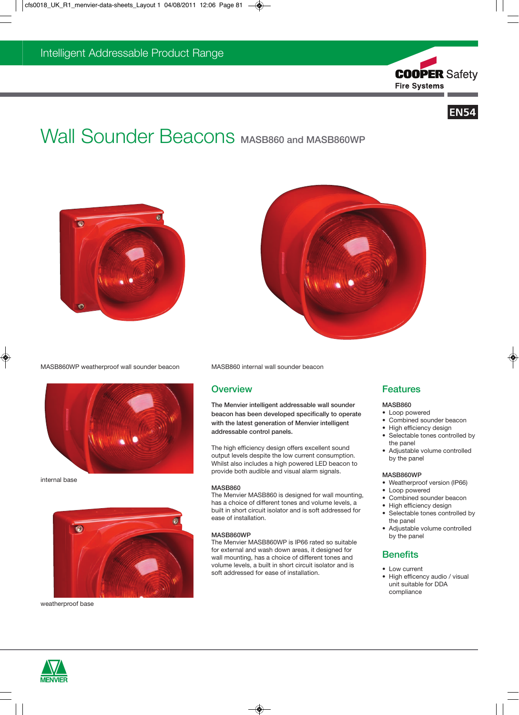



# Wall Sounder Beacons MASB860 and MASB860WP





MASB860WP weatherproof wall sounder beacon MASB860 internal wall sounder beacon



internal base



weatherproof base

# **Overview**

The Menvier intelligent addressable wall sounder beacon has been developed specifically to operate with the latest generation of Menvier intelligent addressable control panels.

The high efficiency design offers excellent sound output levels despite the low current consumption. Whilst also includes a high powered LED beacon to provide both audible and visual alarm signals.

#### MASB860

The Menvier MASB860 is designed for wall mounting, has a choice of different tones and volume levels, a built in short circuit isolator and is soft addressed for ease of installation.

#### MASB860WP

The Menvier MASB860WP is IP66 rated so suitable for external and wash down areas, it designed for wall mounting, has a choice of different tones and volume levels, a built in short circuit isolator and is soft addressed for ease of installation.

# Features

#### MASB860

- Loop powered
- Combined sounder beacon
- High efficiency design
- Selectable tones controlled by the panel
- Adjustable volume controlled by the panel

### MASB860WP

- Weatherproof version (IP66)
- Loop powered
- Combined sounder beacon
- High efficiency design
- Selectable tones controlled by the panel
- Adjustable volume controlled by the panel

# **Benefits**

- Low current
- High efficency audio / visual unit suitable for DDA compliance